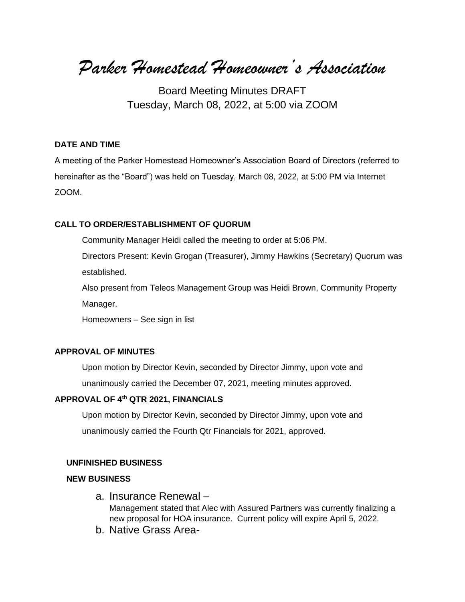*Parker Homestead Homeowner's Association*

Board Meeting Minutes DRAFT Tuesday, March 08, 2022, at 5:00 via ZOOM

#### **DATE AND TIME**

A meeting of the Parker Homestead Homeowner's Association Board of Directors (referred to hereinafter as the "Board") was held on Tuesday, March 08, 2022, at 5:00 PM via Internet ZOOM.

#### **CALL TO ORDER/ESTABLISHMENT OF QUORUM**

Community Manager Heidi called the meeting to order at 5:06 PM.

Directors Present: Kevin Grogan (Treasurer), Jimmy Hawkins (Secretary) Quorum was established.

Also present from Teleos Management Group was Heidi Brown, Community Property Manager.

Homeowners – See sign in list

#### **APPROVAL OF MINUTES**

Upon motion by Director Kevin, seconded by Director Jimmy, upon vote and unanimously carried the December 07, 2021, meeting minutes approved.

## **APPROVAL OF 4th QTR 2021, FINANCIALS**

Upon motion by Director Kevin, seconded by Director Jimmy, upon vote and unanimously carried the Fourth Qtr Financials for 2021, approved.

#### **UNFINISHED BUSINESS**

#### **NEW BUSINESS**

- a. Insurance Renewal Management stated that Alec with Assured Partners was currently finalizing a new proposal for HOA insurance. Current policy will expire April 5, 2022.
- b. Native Grass Area-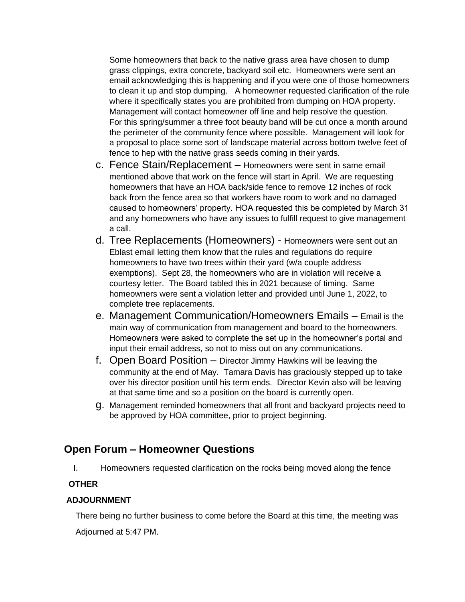Some homeowners that back to the native grass area have chosen to dump grass clippings, extra concrete, backyard soil etc. Homeowners were sent an email acknowledging this is happening and if you were one of those homeowners to clean it up and stop dumping. A homeowner requested clarification of the rule where it specifically states you are prohibited from dumping on HOA property. Management will contact homeowner off line and help resolve the question. For this spring/summer a three foot beauty band will be cut once a month around the perimeter of the community fence where possible. Management will look for a proposal to place some sort of landscape material across bottom twelve feet of fence to hep with the native grass seeds coming in their yards.

- c. Fence Stain/Replacement Homeowners were sent in same email mentioned above that work on the fence will start in April. We are requesting homeowners that have an HOA back/side fence to remove 12 inches of rock back from the fence area so that workers have room to work and no damaged caused to homeowners' property. HOA requested this be completed by March 31 and any homeowners who have any issues to fulfill request to give management a call.
- d. Tree Replacements (Homeowners) Homeowners were sent out an Eblast email letting them know that the rules and regulations do require homeowners to have two trees within their yard (w/a couple address exemptions). Sept 28, the homeowners who are in violation will receive a courtesy letter. The Board tabled this in 2021 because of timing. Same homeowners were sent a violation letter and provided until June 1, 2022, to complete tree replacements.
- e. Management Communication/Homeowners Emails Email is the main way of communication from management and board to the homeowners. Homeowners were asked to complete the set up in the homeowner's portal and input their email address, so not to miss out on any communications.
- f. Open Board Position Director Jimmy Hawkins will be leaving the community at the end of May. Tamara Davis has graciously stepped up to take over his director position until his term ends. Director Kevin also will be leaving at that same time and so a position on the board is currently open.
- g. Management reminded homeowners that all front and backyard projects need to be approved by HOA committee, prior to project beginning.

# **Open Forum – Homeowner Questions**

I. Homeowners requested clarification on the rocks being moved along the fence

# **OTHER**

## **ADJOURNMENT**

 There being no further business to come before the Board at this time, the meeting was Adjourned at 5:47 PM.